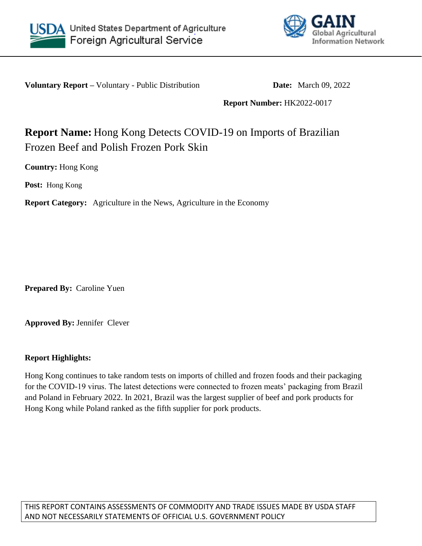



**Voluntary Report –** Voluntary - Public Distribution **Date:** March 09, 2022

**Report Number:** HK2022-0017

## **Report Name:** Hong Kong Detects COVID-19 on Imports of Brazilian Frozen Beef and Polish Frozen Pork Skin

**Country:** Hong Kong

**Post:** Hong Kong

**Report Category:** Agriculture in the News, Agriculture in the Economy

**Prepared By:** Caroline Yuen

**Approved By:** Jennifer Clever

## **Report Highlights:**

Hong Kong continues to take random tests on imports of chilled and frozen foods and their packaging for the COVID-19 virus. The latest detections were connected to frozen meats' packaging from Brazil and Poland in February 2022. In 2021, Brazil was the largest supplier of beef and pork products for Hong Kong while Poland ranked as the fifth supplier for pork products.

THIS REPORT CONTAINS ASSESSMENTS OF COMMODITY AND TRADE ISSUES MADE BY USDA STAFF AND NOT NECESSARILY STATEMENTS OF OFFICIAL U.S. GOVERNMENT POLICY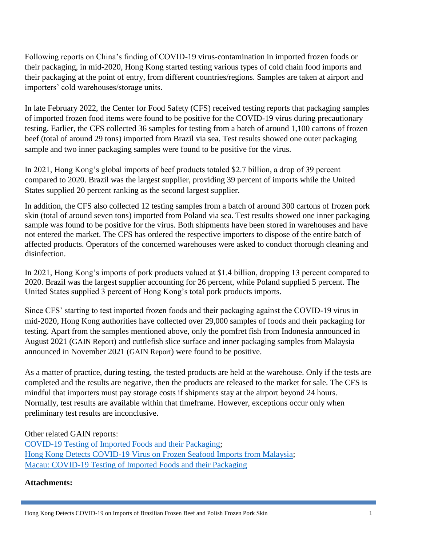Following reports on China's finding of COVID-19 virus-contamination in imported frozen foods or their packaging, in mid-2020, Hong Kong started testing various types of cold chain food imports and their packaging at the point of entry, from different countries/regions. Samples are taken at airport and importers' cold warehouses/storage units.

In late February 2022, the Center for Food Safety (CFS) received testing reports that packaging samples of imported frozen food items were found to be positive for the COVID-19 virus during precautionary testing. Earlier, the CFS collected 36 samples for testing from a batch of around 1,100 cartons of frozen beef (total of around 29 tons) imported from Brazil via sea. Test results showed one outer packaging sample and two inner packaging samples were found to be positive for the virus.

In 2021, Hong Kong's global imports of beef products totaled \$2.7 billion, a drop of 39 percent compared to 2020. Brazil was the largest supplier, providing 39 percent of imports while the United States supplied 20 percent ranking as the second largest supplier.

In addition, the CFS also collected 12 testing samples from a batch of around 300 cartons of frozen pork skin (total of around seven tons) imported from Poland via sea. Test results showed one inner packaging sample was found to be positive for the virus. Both shipments have been stored in warehouses and have not entered the market. The CFS has ordered the respective importers to dispose of the entire batch of affected products. Operators of the concerned warehouses were asked to conduct thorough cleaning and disinfection.

In 2021, Hong Kong's imports of pork products valued at \$1.4 billion, dropping 13 percent compared to 2020. Brazil was the largest supplier accounting for 26 percent, while Poland supplied 5 percent. The United States supplied 3 percent of Hong Kong's total pork products imports.

Since CFS' starting to test imported frozen foods and their packaging against the COVID-19 virus in mid-2020, Hong Kong authorities have collected over 29,000 samples of foods and their packaging for testing. Apart from the samples mentioned above, only the pomfret fish from Indonesia announced in August 2021 ([GAIN Report](https://apps.fas.usda.gov/newgainapi/api/Report/DownloadReportByFileName?fileName=COVID-19%20Testing%20of%20Imported%20Foods%20and%20their%20Packaging%20_Hong%20Kong_Hong%20Kong_10-24-2021)) and cuttlefish slice surface and inner packaging samples from Malaysia announced in November 2021 ([GAIN Report](https://apps.fas.usda.gov/newgainapi/api/Report/DownloadReportByFileName?fileName=Hong%20Kong%20Detects%20COVID-19%20Virus%20on%20Frozen%20Seafood%20Imports%20from%20Malaysia%20_Hong%20Kong_Hong%20Kong_11-08-2021)) were found to be positive.

As a matter of practice, during testing, the tested products are held at the warehouse. Only if the tests are completed and the results are negative, then the products are released to the market for sale. The CFS is mindful that importers must pay storage costs if shipments stay at the airport beyond 24 hours. Normally, test results are available within that timeframe. However, exceptions occur only when preliminary test results are inconclusive.

Other related GAIN reports:

[COVID-19 Testing of Imported Foods and their Packaging;](file:///C:/Users/User1/Downloads/COVID-19%20Testing%20of%20Imported%20Foods%20and%20their%20Packaging) [Hong Kong Detects COVID-19 Virus on Frozen Seafood Imports from Malaysia;](https://www.fas.usda.gov/data/hong-kong-hong-kong-detects-covid-19-virus-frozen-seafood-imports-malaysia) [Macau: COVID-19 Testing of Imported Foods and their Packaging](https://www.fas.usda.gov/data/macau-covid-19-testing-of-imported-foods)

## **Attachments:**